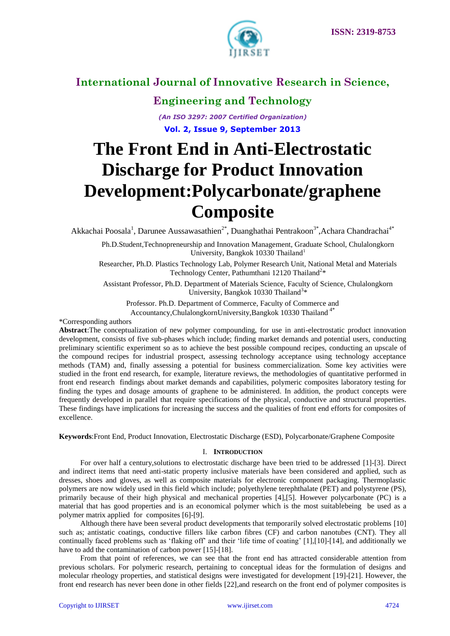

### **Engineering and Technology**

*(An ISO 3297: 2007 Certified Organization)* **Vol. 2, Issue 9, September 2013**

# **The Front End in Anti-Electrostatic Discharge for Product Innovation Development:Polycarbonate/graphene Composite**

Akkachai Poosala<sup>1</sup>, Darunee Aussawasathien<sup>2\*</sup>, Duanghathai Pentrakoon<sup>3\*</sup>, Achara Chandrachai<sup>4\*</sup>

Ph.D.Student,Technopreneurship and Innovation Management, Graduate School, Chulalongkorn University, Bangkok 10330 Thailand<sup>1</sup>

Researcher, Ph.D. Plastics Technology Lab, Polymer Research Unit, National Metal and Materials Technology Center, Pathumthani 12120 Thailand<sup>2</sup>\*

Assistant Professor, Ph.D. Department of Materials Science, Faculty of Science, Chulalongkorn University, Bangkok 10330 Thailand<sup>3\*</sup>

Professor. Ph.D. Department of Commerce, Faculty of Commerce and

Accountancy, Chulalongkorn University, Bangkok 10330 Thailand<sup>4\*</sup>

\*Corresponding authors

**Abstract**:The conceptualization of new polymer compounding, for use in anti-electrostatic product innovation development, consists of five sub-phases which include; finding market demands and potential users, conducting preliminary scientific experiment so as to achieve the best possible compound recipes, conducting an upscale of the compound recipes for industrial prospect, assessing technology acceptance using technology acceptance methods (TAM) and, finally assessing a potential for business commercialization. Some key activities were studied in the front end research, for example, literature reviews, the methodologies of quantitative performed in front end research findings about market demands and capabilities, polymeric composites laboratory testing for finding the types and dosage amounts of graphene to be administered. In addition, the product concepts were frequently developed in parallel that require specifications of the physical, conductive and structural properties. These findings have implications for increasing the success and the qualities of front end efforts for composites of excellence.

**Keywords**:Front End, Product Innovation, Electrostatic Discharge (ESD), Polycarbonate/Graphene Composite

### I. **INTRODUCTION**

For over half a century,solutions to electrostatic discharge have been tried to be addressed [1]-[3]. Direct and indirect items that need anti-static property inclusive materials have been considered and applied, such as dresses, shoes and gloves, as well as composite materials for electronic component packaging. Thermoplastic polymers are now widely used in this field which include; polyethylene terephthalate (PET) and polystyrene (PS), primarily because of their high physical and mechanical properties [4],[5]. However polycarbonate (PC) is a material that has good properties and is an economical polymer which is the most suitablebeing be used as a polymer matrix applied for composites [6]-[9].

Although there have been several product developments that temporarily solved electrostatic problems [10] such as; antistatic coatings, conductive fillers like carbon fibres (CF) and carbon nanotubes (CNT). They all continually faced problems such as 'flaking off' and their 'life time of coating' [1],[10]-[14], and additionally we have to add the contamination of carbon power [15]-[18].

From that point of references, we can see that the front end has attracted considerable attention from previous scholars. For polymeric research, pertaining to conceptual ideas for the formulation of designs and molecular rheology properties, and statistical designs were investigated for development [19]-[21]. However, the front end research has never been done in other fields [22],and research on the front end of polymer composites is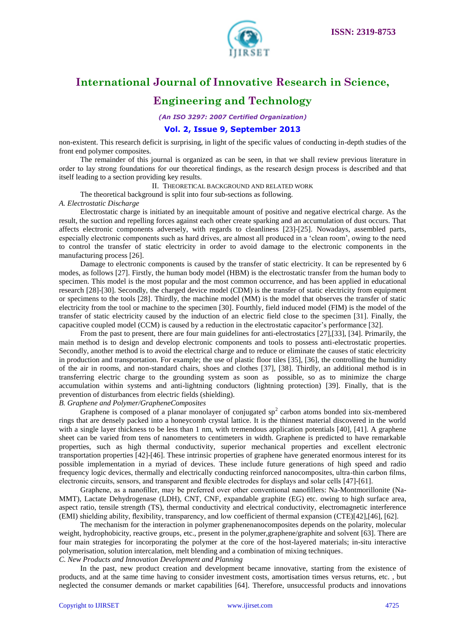

### **Engineering and Technology**

*(An ISO 3297: 2007 Certified Organization)*

#### **Vol. 2, Issue 9, September 2013**

non-existent. This research deficit is surprising, in light of the specific values of conducting in-depth studies of the front end polymer composites.

The remainder of this journal is organized as can be seen, in that we shall review previous literature in order to lay strong foundations for our theoretical findings, as the research design process is described and that itself leading to a section providing key results.

II. THEORETICAL BACKGROUND AND RELATED WORK

The theoretical background is split into four sub-sections as following.

#### *A. Electrostatic Discharge*

Electrostatic charge is initiated by an inequitable amount of positive and negative electrical charge. As the result, the suction and repelling forces against each other create sparking and an accumulation of dust occurs. That affects electronic components adversely, with regards to cleanliness [23]-[25]. Nowadays, assembled parts, especially electronic components such as hard drives, are almost all produced in a 'clean room', owing to the need to control the transfer of static electricity in order to avoid damage to the electronic components in the manufacturing process [26].

Damage to electronic components is caused by the transfer of static electricity. It can be represented by 6 modes, as follows [27]. Firstly, the human body model (HBM) is the electrostatic transfer from the human body to specimen. This model is the most popular and the most common occurrence, and has been applied in educational research [28]-[30]. Secondly, the charged device model (CDM) is the transfer of static electricity from equipment or specimens to the tools [28]. Thirdly, the machine model (MM) is the model that observes the transfer of static electricity from the tool or machine to the specimen [30]. Fourthly, field induced model (FIM) is the model of the transfer of static electricity caused by the induction of an electric field close to the specimen [31]. Finally, the capacitive coupled model (CCM) is caused by a reduction in the electrostatic capacitor's performance [32].

From the past to present, there are four main guidelines for anti-electrostatics [27],[33], [34]. Primarily, the main method is to design and develop electronic components and tools to possess anti-electrostatic properties. Secondly, another method is to avoid the electrical charge and to reduce or eliminate the causes of static electricity in production and transportation. For example; the use of plastic floor tiles [35], [36], the controlling the humidity of the air in rooms, and non-standard chairs, shoes and clothes [37], [38]. Thirdly, an additional method is in transferring electric charge to the grounding system as soon as possible, so as to minimize the charge accumulation within systems and anti-lightning conductors (lightning protection) [39]. Finally, that is the prevention of disturbances from electric fields (shielding).

### *B. Graphene and Polymer/GrapheneComposites*

Graphene is composed of a planar monolayer of conjugated  $sp<sup>2</sup>$  carbon atoms bonded into six-membered rings that are densely packed into a honeycomb crystal lattice. It is the thinnest material discovered in the world with a single layer thickness to be less than 1 nm, with tremendous application potentials [40], [41]. A graphene sheet can be varied from tens of nanometers to centimeters in width. Graphene is predicted to have remarkable properties, such as high thermal conductivity, superior mechanical properties and excellent electronic transportation properties [42]-[46]. These intrinsic properties of graphene have generated enormous interest for its possible implementation in a myriad of devices. These include future generations of high speed and radio frequency logic devices, thermally and electrically conducting reinforced nanocomposites, ultra-thin carbon films, electronic circuits, sensors, and transparent and flexible electrodes for displays and solar cells [47]-[61].

Graphene, as a nanofiller, may be preferred over other conventional nanofillers: Na-Montmorillonite (Na-MMT), Lactate Dehydrogenase (LDH), CNT, CNF, expandable graphite (EG) etc. owing to high surface area, aspect ratio, tensile strength (TS), thermal conductivity and electrical conductivity, electromagnetic interference (EMI) shielding ability, flexibility, transparency, and low coefficient of thermal expansion (CTE)[42],[46], [62].

The mechanism for the interaction in polymer graphenenanocomposites depends on the polarity, molecular weight, hydrophobicity, reactive groups, etc., present in the polymer,graphene/graphite and solvent [63]. There are four main strategies for incorporating the polymer at the core of the host-layered materials; in-situ interactive polymerisation, solution intercalation, melt blending and a combination of mixing techniques.

### *C. New Products and Innovation Development and Planning*

In the past, new product creation and development became innovative, starting from the existence of products, and at the same time having to consider investment costs, amortisation times versus returns, etc. , but neglected the consumer demands or market capabilities [64]. Therefore, unsuccessful products and innovations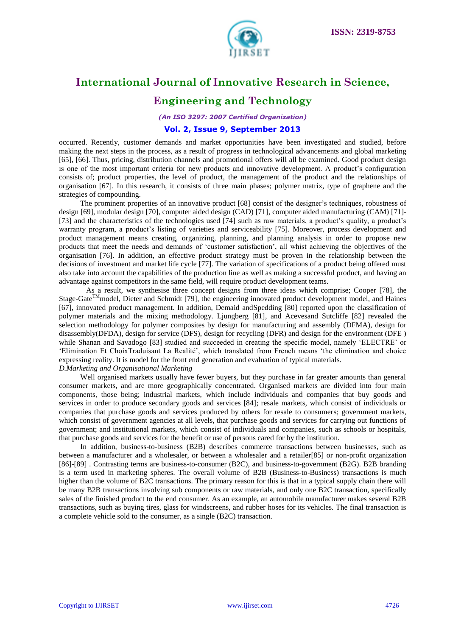

# **Engineering and Technology**

*(An ISO 3297: 2007 Certified Organization)*

#### **Vol. 2, Issue 9, September 2013**

occurred. Recently, customer demands and market opportunities have been investigated and studied, before making the next steps in the process, as a result of progress in technological advancements and global marketing [65], [66]. Thus, pricing, distribution channels and promotional offers will all be examined. Good product design is one of the most important criteria for new products and innovative development. A product's configuration consists of; product properties, the level of product, the management of the product and the relationships of organisation [67]. In this research, it consists of three main phases; polymer matrix, type of graphene and the strategies of compounding.

The prominent properties of an innovative product [68] consist of the designer's techniques, robustness of design [69], modular design [70], computer aided design (CAD) [71], computer aided manufacturing (CAM) [71]- [73] and the characteristics of the technologies used [74] such as raw materials, a product's quality, a product's warranty program, a product's listing of varieties and serviceability [75]. Moreover, process development and product management means creating, organizing, planning, and planning analysis in order to propose new products that meet the needs and demands of ‗customer satisfaction', all whist achieving the objectives of the organisation [76]. In addition, an effective product strategy must be proven in the relationship between the decisions of investment and market life cycle [77]. The variation of specifications of a product being offered must also take into account the capabilities of the production line as well as making a successful product, and having an advantage against competitors in the same field, will require product development teams.

As a result, we synthesise three concept designs from three ideas which comprise; Cooper [78], the Stage-Gate<sup>TM</sup>model, Dieter and Schmidt [79], the engineering innovated product development model, and Haines [67], innovated product management. In addition, Demaid andSpedding [80] reported upon the classification of polymer materials and the mixing methodology. Ljungberg [81], and Acevesand Sutcliffe [82] revealed the selection methodology for polymer composites by design for manufacturing and assembly (DFMA), design for disassembly(DFDA), design for service (DFS), design for recycling (DFR) and design for the environment (DFE ) while Shanan and Savadogo [83] studied and succeeded in creating the specific model, namely 'ELECTRE' or ‗Elimination Et ChoixTraduisant La Realité', which translated from French means ‗the elimination and choice expressing reality. It is model for the front end generation and evaluation of typical materials. *D.Marketing and Organisational Marketing*

Well organised markets usually have fewer buyers, but they purchase in far greater amounts than general consumer markets, and are more geographically concentrated. Organised markets are divided into four main components, those being; industrial markets, which include individuals and companies that buy goods and services in order to produce secondary goods and services [84]; resale markets, which consist of individuals or companies that purchase goods and services produced by others for resale to consumers; government markets, which consist of government agencies at all levels, that purchase goods and services for carrying out functions of government; and institutional markets, which consist of individuals and companies, such as schools or hospitals, that purchase goods and services for the benefit or use of persons cared for by the institution.

In addition, business-to-business (B2B) describes commerce transactions between businesses, such as between a manufacturer and a wholesaler, or between a wholesaler and a retailer[85] or non-profit organization [86]-[89] . Contrasting terms are business-to-consumer (B2C), and business-to-government (B2G). B2B branding is a term used in marketing spheres. The overall volume of B2B (Business-to-Business) transactions is much higher than the volume of B2C transactions. The primary reason for this is that in a typical supply chain there will be many B2B transactions involving sub components or raw materials, and only one B2C transaction, specifically sales of the finished product to the end consumer. As an example, an automobile manufacturer makes several B2B transactions, such as buying tires, glass for windscreens, and rubber hoses for its vehicles. The final transaction is a complete vehicle sold to the consumer, as a single (B2C) transaction.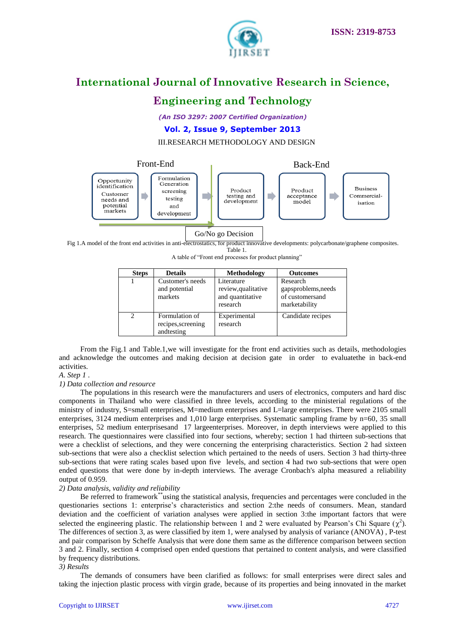



### **Engineering and Technology**

*(An ISO 3297: 2007 Certified Organization)*

**Vol. 2, Issue 9, September 2013**

III.RESEARCH METHODOLOGY AND DESIGN



Go/No go Decision

Fig 1.A model of the front end activities in anti-electrostatics, for product innovative developments: polycarbonate/graphene composites. Table 1.

A table of "Front end processes for product planning"

| <b>Steps</b>   | <b>Details</b>                                     | Methodology                                                       | <b>Outcomes</b>                                                     |
|----------------|----------------------------------------------------|-------------------------------------------------------------------|---------------------------------------------------------------------|
|                | Customer's needs<br>and potential<br>markets       | Literature<br>review, qualitative<br>and quantitative<br>research | Research<br>gapsproblems, needs<br>of customersand<br>marketability |
| $\mathfrak{D}$ | Formulation of<br>recipes, screening<br>andtesting | Experimental<br>research                                          | Candidate recipes                                                   |

From the Fig.1 and Table.1,we will investigate for the front end activities such as details, methodologies and acknowledge the outcomes and making decision at decision gate in order to evaluatethe in back-end activities.

### *A*. *Step 1* .

### *1) Data collection and resource*

The populations in this research were the manufacturers and users of electronics, computers and hard disc components in Thailand who were classified in three levels, according to the ministerial regulations of the ministry of industry, S=small enterprises, M=medium enterprises and L=large enterprises. There were 2105 small enterprises, 3124 medium enterprises and 1,010 large enterprises. Systematic sampling frame by n=60, 35 small enterprises, 52 medium enterprisesand 17 largeenterprises. Moreover, in depth interviews were applied to this research. The questionnaires were classified into four sections, whereby; section 1 had thirteen sub-sections that were a checklist of selections, and they were concerning the enterprising characteristics. Section 2 had sixteen sub-sections that were also a checklist selection which pertained to the needs of users. Section 3 had thirty-three sub-sections that were rating scales based upon five levels, and section 4 had two sub-sections that were open ended questions that were done by in-depth interviews. The average Cronbach's alpha measured a reliability output of 0.959.

### *2) Data analysis, validity and reliability*

Be referred to framework\*\*using the statistical analysis, frequencies and percentages were concluded in the questionaries sections 1: enterprise's characteristics and section 2:the needs of consumers. Mean, standard deviation and the coefficient of variation analyses were applied in section 3:the important factors that were selected the engineering plastic. The relationship between 1 and 2 were evaluated by Pearson's Chi Square  $(\chi^2)$ . The differences of section 3, as were classified by item 1, were analysed by analysis of variance (ANOVA) , P-test and pair comparison by Scheffe Analysis that were done them same as the difference comparison between section 3 and 2. Finally, section 4 comprised open ended questions that pertained to content analysis, and were classified by frequency distributions.

#### *3) Results*

The demands of consumers have been clarified as follows: for small enterprises were direct sales and taking the injection plastic process with virgin grade, because of its properties and being innovated in the market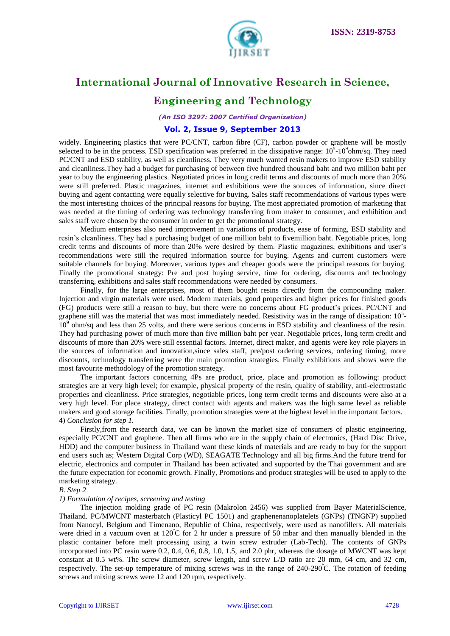

### **Engineering and Technology**

*(An ISO 3297: 2007 Certified Organization)*

#### **Vol. 2, Issue 9, September 2013**

widely. Engineering plastics that were PC/CNT, carbon fibre (CF), carbon powder or graphene will be mostly selected to be in the process. ESD specification was preferred in the dissipative range:  $10^5$ - $10^9$ ohm/sq. They need PC/CNT and ESD stability, as well as cleanliness. They very much wanted resin makers to improve ESD stability and cleanliness.They had a budget for purchasing of between five hundred thousand baht and two million baht per year to buy the engineering plastics. Negotiated prices in long credit terms and discounts of much more than 20% were still preferred. Plastic magazines, internet and exhibitions were the sources of information, since direct buying and agent contacting were equally selective for buying. Sales staff recommendations of various types were the most interesting choices of the principal reasons for buying. The most appreciated promotion of marketing that was needed at the timing of ordering was technology transferring from maker to consumer, and exhibition and sales staff were chosen by the consumer in order to get the promotional strategy.

Medium enterprises also need improvement in variations of products, ease of forming, ESD stability and resin's cleanliness. They had a purchasing budget of one million baht to fivemillion baht. Negotiable prices, long credit terms and discounts of more than 20% were desired by them. Plastic magazines, exhibitions and user's recommendations were still the required information source for buying. Agents and current customers were suitable channels for buying. Moreover, various types and cheaper goods were the principal reasons for buying. Finally the promotional strategy: Pre and post buying service, time for ordering, discounts and technology transferring, exhibitions and sales staff recommendations were needed by consumers.

Finally, for the large enterprises, most of them bought resins directly from the compounding maker. Injection and virgin materials were used. Modern materials, good properties and higher prices for finished goods (FG) products were still a reason to buy, but there were no concerns about FG product's prices. PC/CNT and graphene still was the material that was most immediately needed. Resistivity was in the range of dissipation:  $10<sup>5</sup>$  $10<sup>9</sup>$  ohm/sq and less than 25 volts, and there were serious concerns in ESD stability and cleanliness of the resin. They had purchasing power of much more than five million baht per year. Negotiable prices, long term credit and discounts of more than 20% were still essential factors. Internet, direct maker, and agents were key role players in the sources of information and innovation,since sales staff, pre/post ordering services, ordering timing, more discounts, technology transferring were the main promotion strategies. Finally exhibitions and shows were the most favourite methodology of the promotion strategy.

The important factors concerning 4Ps are product, price, place and promotion as following: product strategies are at very high level; for example, physical property of the resin, quality of stability, anti-electrostatic properties and cleanliness. Price strategies, negotiable prices, long term credit terms and discounts were also at a very high level. For place strategy, direct contact with agents and makers was the high same level as reliable makers and good storage facilities. Finally, promotion strategies were at the highest level in the important factors. 4) *Conclusion for step 1.* 

Firstly,from the research data, we can be known the market size of consumers of plastic engineering, especially PC/CNT and graphene. Then all firms who are in the supply chain of electronics, (Hard Disc Drive, HDD) and the computer business in Thailand want these kinds of materials and are ready to buy for the support end users such as; Western Digital Corp (WD), SEAGATE Technology and all big firms.And the future trend for electric, electronics and computer in Thailand has been activated and supported by the Thai government and are the future expectation for economic growth. Finally, Promotions and product strategies will be used to apply to the marketing strategy.

#### *B. Step 2*

#### *1) Formulation of recipes, screening and testing*

The injection molding grade of PC resin (Makrolon 2456) was supplied from Bayer MaterialScience, Thailand. PC/MWCNT masterbatch (Plasticyl PC 1501) and graphenenanoplatelets (GNPs) (TNGNP) supplied from Nanocyl, Belgium and Timenano, Republic of China, respectively, were used as nanofillers. All materials were dried in a vacuum oven at  $120^{\circ}$ C for 2 hr under a pressure of 50 mbar and then manually blended in the plastic container before melt processing using a twin screw extruder (Lab-Tech). The contents of GNPs incorporated into PC resin were 0.2, 0.4, 0.6, 0.8, 1.0, 1.5, and 2.0 phr, whereas the dosage of MWCNT was kept constant at 0.5 wt%. The screw diameter, screw length, and screw L/D ratio are 20 mm, 64 cm, and 32 cm, respectively. The set-up temperature of mixing screws was in the range of 240-290<sup>º</sup>C. The rotation of feeding screws and mixing screws were 12 and 120 rpm, respectively.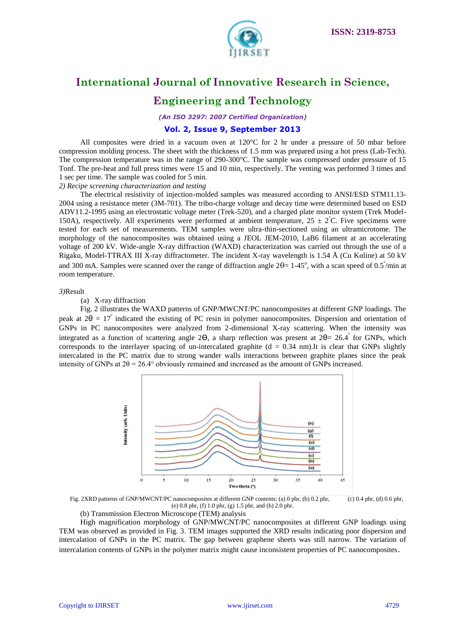

# **Engineering and Technology**

*(An ISO 3297: 2007 Certified Organization)*

#### **Vol. 2, Issue 9, September 2013**

All composites were dried in a vacuum oven at 120°C for 2 hr under a pressure of 50 mbar before compression molding process. The sheet with the thickness of 1.5 mm was prepared using a hot press (Lab-Tech). The compression temperature was in the range of 290-300°C. The sample was compressed under pressure of 15 Tonf. The pre-heat and full press times were 15 and 10 min, respectively. The venting was performed 3 times and 1 sec per time. The sample was cooled for 5 min.

### *2) Recipe screening characterization and testing*

The electrical resistivity of injection-molded samples was measured according to ANSI/ESD STM11.13- 2004 using a resistance meter (3M-701). The tribo-charge voltage and decay time were determined based on ESD ADV11.2-1995 using an electrostatic voltage meter (Trek-520), and a charged plate monitor system (Trek Model-150A), respectively. All experiments were performed at ambient temperature,  $25 \pm 2^{\circ}$ C. Five specimens were tested for each set of measurements. TEM samples were ultra-thin-sectioned using an ultramicrotome. The morphology of the nanocomposites was obtained using a JEOL JEM-2010, LaB6 filament at an accelerating voltage of 200 kV. Wide-angle X-ray diffraction (WAXD) characterization was carried out through the use of a Rigaku, Model-TTRAX III X-ray diffractometer. The incident X-ray wavelength is 1.54 Å (Cu Kαline) at 50 kV and 300 mA. Samples were scanned over the range of diffraction angle  $2\theta = 1-45^\circ$ , with a scan speed of 0.5<sup> $\degree$ </sup>/min at room temperature.

#### *3)*Result

(a) X-ray diffraction

Fig. 2 illustrates the WAXD patterns of GNP/MWCNT/PC nanocomposites at different GNP loadings. The peak at  $2\theta = 17^\circ$  indicated the existing of PC resin in polymer nanocomposites. Dispersion and orientation of GNPs in PC nanocomposites were analyzed from 2-dimensional X-ray scattering. When the intensity was integrated as a function of scattering angle 2Θ, a sharp reflection was present at 2θ= 26.4° for GNPs, which corresponds to the interlayer spacing of un-intercalated graphite ( $d = 0.34$  nm).It is clear that GNPs slightly intercalated in the PC matrix due to strong wander walls interactions between graphite planes since the peak intensity of GNPs at  $2\theta = 26.4^{\circ}$  obviously remained and increased as the amount of GNPs increased.



Fig. 2XRD patterns of GNP/MWCNT/PC nanocomposites at different GNP contents: (a) 0 phr, (b) 0.2 phr, (c) 0.4 phr, (d) 0.6 phr, (e) 0.8 phr, (f) 1.0 phr, (g) 1.5 phr, and (h) 2.0 phr.

(b) Transmission Electron Microscope (TEM) analysis

High magnification morphology of GNP/MWCNT/PC nanocomposites at different GNP loadings using TEM was observed as provided in Fig. 3. TEM images supported the XRD results indicating poor dispersion and intercalation of GNPs in the PC matrix. The gap between graphene sheets was still narrow. The variation of intercalation contents of GNPs in the polymer matrix might cause inconsistent properties of PC nanocomposites.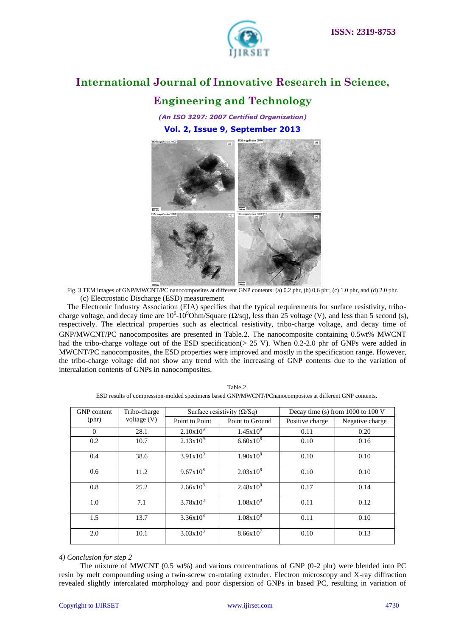

### **Engineering and Technology**

*(An ISO 3297: 2007 Certified Organization)* **Vol. 2, Issue 9, September 2013**



Fig. 3 TEM images of GNP/MWCNT/PC nanocomposites at different GNP contents: (a) 0.2 phr, (b) 0.6 phr, (c) 1.0 phr, and (d) 2.0 phr. (c) Electrostatic Discharge (ESD) measurement

The Electronic Industry Association (EIA) specifies that the typical requirements for surface resistivity, tribocharge voltage, and decay time are  $10^6 \text{-} 10^9$ Ohm/Square ( $\Omega$ /sq), less than 25 voltage (V), and less than 5 second (s), respectively. The electrical properties such as electrical resistivity, tribo-charge voltage, and decay time of GNP/MWCNT/PC nanocomposites are presented in Table.2. The nanocomposite containing 0.5wt% MWCNT had the tribo-charge voltage out of the ESD specification( $> 25$  V). When 0.2-2.0 phr of GNPs were added in MWCNT/PC nanocomposites, the ESD properties were improved and mostly in the specification range. However, the tribo-charge voltage did not show any trend with the increasing of GNP contents due to the variation of intercalation contents of GNPs in nanocomposites.

| Table.2                                                                                                 |
|---------------------------------------------------------------------------------------------------------|
| ESD results of compression-molded specimens based GNP/MWCNT/PCnanocomposites at different GNP contents. |

| <b>GNP</b> content | Tribo-charge<br>voltage $(V)$ | Surface resistivity ( $\Omega$ /Sq) |                    | Decay time (s) from 1000 to 100 V |                 |
|--------------------|-------------------------------|-------------------------------------|--------------------|-----------------------------------|-----------------|
| $(\text{phr})$     |                               | Point to Point                      | Point to Ground    | Positive charge                   | Negative charge |
| $\Omega$           | 28.1                          | $2.10x10^{9}$                       | $1.45x10^{9}$      | 0.11                              | 0.20            |
| 0.2                | 10.7                          | $2.13x10^{9}$                       | $6.60x10^{8}$      | 0.10                              | 0.16            |
| 0.4                | 38.6                          | $3.91x10^{9}$                       | $1.90x10^{8}$      | 0.10                              | 0.10            |
| 0.6                | 11.2                          | $9.67 \times 10^8$                  | $2.03x10^{8}$      | 0.10                              | 0.10            |
| 0.8                | 25.2                          | $2.66x10^{8}$                       | $2.48 \times 10^8$ | 0.17                              | 0.14            |
| 1.0                | 7.1                           | $3.78x10^{8}$                       | $1.08x10^{8}$      | 0.11                              | 0.12            |
| 1.5                | 13.7                          | $3.36x10^{8}$                       | $1.08x10^{8}$      | 0.11                              | 0.10            |
| 2.0                | 10.1                          | $3.03x10^{8}$                       | $8.66x10^{7}$      | 0.10                              | 0.13            |

### *4) Conclusion for step 2*

The mixture of MWCNT (0.5 wt%) and various concentrations of GNP (0-2 phr) were blended into PC resin by melt compounding using a twin-screw co-rotating extruder. Electron microscopy and X-ray diffraction revealed slightly intercalated morphology and poor dispersion of GNPs in based PC, resulting in variation of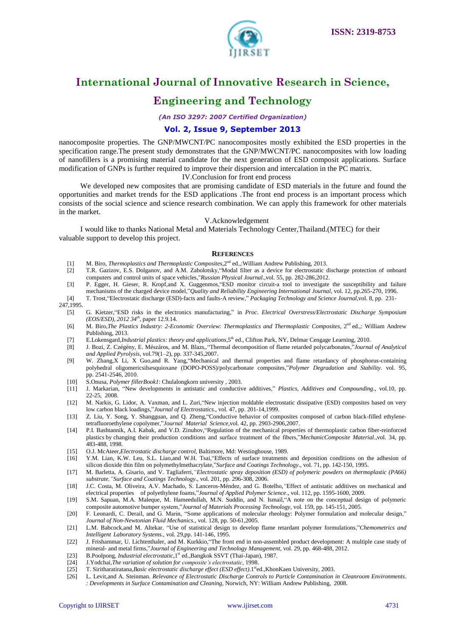

### **Engineering and Technology**

*(An ISO 3297: 2007 Certified Organization)*

#### **Vol. 2, Issue 9, September 2013**

nanocomposite properties. The GNP/MWCNT/PC nanocomposites mostly exhibited the ESD properties in the specification range.The present study demonstrates that the GNP/MWCNT/PC nanocomposites with low loading of nanofillers is a promising material candidate for the next generation of ESD composit applications. Surface modification of GNPs is further required to improve their dispersion and intercalation in the PC matrix.

IV.Conclusion for front end process

We developed new composites that are promising candidate of ESD materials in the future and found the opportunities and market trends for the ESD applications .The front end process is an important process which consists of the social science and science research combination. We can apply this framework for other materials in the market.

#### V.Acknowledgement

I would like to thanks National Metal and Materials Technology Center,Thailand.(MTEC) for their valuable support to develop this project.

#### **REFERENCES**

- [1] M. Biro, *Thermoplastics and Thermoplastic Composites*,2nd ed.,:William Andrew Publishing, 2013.
- [2] T.R. Gazizov, E.S. Dolganov, and A.M. Zabolotsky, "Modal filter as a device for electrostatic discharge protection of onboard computers and control units of space vehicles,"*Russian Physical Journal*.,vol. 55, pp. 282-286,2012.
- [3] P. Egger, H. Gieser, R. Kropf,and X. Guggenmos, "ESD monitor circuit-a tool to investigate the susceptibility and failure mechanisms of the charged device model,"*Quality and Reliability Engineering International Journal*, vol. 12, pp.265-270, 1996.
- [4] T. Trost,―Electrostatic discharge (ESD)-facts and faults-A review,‖ *Packaging Technology and Science Journal*,vol. 8, pp. 231-

247,1995.

- [5] G. Kietzer, "ESD risks in the electronics manufacturing," in *Proc. Electrical Overstress/Electrostatic Discharge Symposium (EOS/ESD), 2012 34th*, paper 12.9.14.
- [6] M. Biro,*The Plastics Industry: 2-Economic Overview*: *Thermoplastics and Thermoplastic Composites*, 2nd ed.,: William Andrew Publishing, 2013.
- [7] E.Lokensgard,*Industrial plastics: theory and applications,*5 th ed., Clifton Park, NY, Delmar Cengage Learning, 2010.
- [8] J. Bozi, Z. Czégény, E. Mészáros, and M. Blazs,.―Thermal decomposition of flame retarded polycarbonates,‖*Journal of Analytical and Applied Pyrolysis*, vol.79(1–2), pp. 337-345,2007.
- [9] W. Zhang,X Li, X Guo,and R. Yang, "Mechanical and thermal properties and flame retardancy of phosphorus-containing polyhedral oligomericsilsesquioxane (DOPO-POSS)/polycarbonate composites,"Polymer Degradation and Stability. vol. 95, pp. 2541-2546, 2010.
- [10] S.Onusa, *Polymer fillerBook1*: Chulalongkorn university , 2003.
- [11] J. Markarian, "New developments in antistatic and conductive additives," Plastics, Additives and Compounding., vol.10, pp. 22-25, 2008.
- [12] M. Narkis, G. Lidor, A. Vaxman, and L. Zuri, "New injection moldable electrostatic dissipative (ESD) composites based on very low carbon black loadings,"*Journal of Electrostatics*., vol. 47, pp. 201-14,1999.
- [13] Z. Liu, Y. Song, Y. Shangguan, and Q. Zheng, "Conductive behavior of composites composed of carbon black-filled ethylenetetrafluoroethylene copolymer,"*Journal Material Science*,vol. 42, pp. 2903-2906,2007.
- [14] P.I. Bashtannik, A.I. Kabak, and V.D. Zinuhov, "Regulation of the mechanical properties of thermoplastic carbon fiber-reinforced plastics by changing their production conditions and surface treatment of the fibers,"*MechanicComposite Material*.,vol. 34, pp. 483-488, 1998.
- [15] O.J. McAteer,*Electrostatic discharge control,* Baltimore, Md: Westinghouse, 1989.
- [16] Y.M. Lian, K.W. Leu, S.L. Liao, and W.H. Tsai, "Effects of surface treatments and deposition conditions on the adhesion of silicon dioxide thin film on polymethylmethacrylate,"Surface and Coatings Technology., vol. 71, pp. 142-150, 1995.
- [17] M. Barletta, A. Gisario, and V. Tagliaferri,*"Electrostatic spray deposition (ESD) of polymeric powders on thermoplastic (PA66) substrate,"Surface and Coatings Technology*., vol. 201, pp. 296-308, 2006.
- [18] J.C. Costa, M. Oliveira, A.V. Machado, S. Lanceros-Méndez, and G. Botelho,*"*Effect of antistatic additives on mechanical and electrical properties of polyethylene foams,"*Journal of Applied Polymer Science.*, vol. 112, pp. 1595-1600, 2009.
- [19] S.M. Sapuan, M.A. Maleque, M. Hameedullah, M.N. Suddin, and N. Ismail, A note on the conceptual design of polymeric composite automotive bumper system,"*Journal of Materials Processing Technology*, vol. 159, pp. 145-151, 2005.
- [20] F. Leonardi, C. Derail, and G. Marin, "Some applications of molecular rheology: Polymer formulation and molecular design," *Journal of Non-Newtonian Fluid Mechanics.*, vol. 128, pp. 50-61,2005.
- [21] L.M. Babcock,and M. Altekar. "Use of statistical design to develop flame retardant polymer formulations,"*Chemometrics and Intelligent Laboratory Systems.*, vol. 29,pp. 141-146, 1995.
- [22] J. Frishammar, U. Lichtenthaler, and M. Kurkkio, "The front end in non-assembled product development: A multiple case study of mineral- and metal firms,"*Journal of Engineering and Technology Management*, vol. 29, pp. 468-488, 2012.
- [23] B.Poolpong, *Industrial electrostatic*, 1<sup>st</sup> ed., Bangkok SSVT (Thai-Japan), 1987.
- [24] J.Yodchai,*The variation of solution for composite's electrostatic*, 1998.
- [25] T. Siritharatiratana,*Basic electrostatic discharge effect (ESD effect)*.1s<sup>t</sup>ed.,KhonKaen University, 2003.
- [26] L. Levit,and A. Steinman. *Relevance of Electrostatic Discharge Controls to Particle Contamination in Cleanroom Environments*. *: Developments in Surface Contamination and Cleaning*, Norwich, NY: William Andrew Publishing, 2008.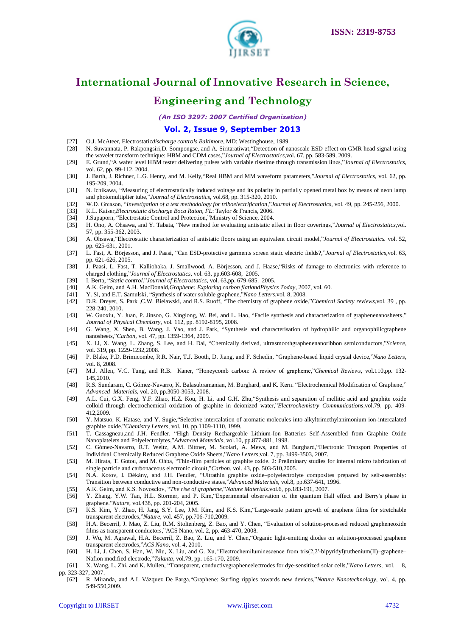

### **Engineering and Technology**

*(An ISO 3297: 2007 Certified Organization)*

#### **Vol. 2, Issue 9, September 2013**

- [27] O.J. McAteer, Electrostatic*discharge controls Baltimore*, MD: Westinghouse, 1989.
- [28] N. Suwannata, P. Rakpongsiri,D. Sompongse, and A. Siritaratiwat, "Detection of nanoscale ESD effect on GMR head signal using the wavelet transform technique: HBM and CDM cases,"*Journal of Electrostatics*,vol. 67, pp. 583-589, 2009.
- [29] E. Grund, "A wafer level HBM tester delivering pulses with variable risetime through transmission lines,"*Journal of Electrostatics*, vol. 62, pp. 99-112, 2004.
- [30] J. Barth, J. Richner, L.G. Henry, and M. Kelly, "Real HBM and MM waveform parameters,"*Journal of Electrostatics*, vol. 62, pp. 195-209, 2004.
- [31] N. Ichikawa, "Measuring of electrostatically induced voltage and its polarity in partially opened metal box by means of neon lamp and photomultiplier tube,"*Journal of Electrostatics*, vol.68, pp. 315-320, 2010.
- [32] W.D. Greason, "Investigation of a test methodology for triboelectrification,"Journal of Electrostatics, vol. 49, pp. 245-256, 2000.
- [33] K.L. Kaiser,*Electrostatic discharge Boca Raton, FL*: Taylor & Francis, 2006.
- [34] J.Supaporn, "Electrostatic Control and Protection,"Ministry of Science, 2004.
- [35] H. Ono, A. Ohsawa, and Y. Tabata, "New method for evaluating antistatic effect in floor coverings,"*Journal of Electrostatics*,vol. 57, pp. 355-362, 2003.
- [36] A. Ohsawa, "Electrostatic characterization of antistatic floors using an equivalent circuit model,"*Journal of Electrostatics.* vol. 52, pp. 625-631, 2001.
- [37] L. Fast, A. Börjesson, and J. Paasi, "Can ESD-protective garments screen static electric fields?,"*Journal of Electrostatics*,vol. 63, pp. 621-626, 2005.
- [38] J. Paasi, L. Fast, T. Kalliohaka, J. Smallwood, A. Börjesson, and J. Haase, "Risks of damage to electronics with reference to charged clothing,"*Journal of Electrostatics*, vol. 63, pp.603-608, 2005.
- [39] I. Berta, "Static control,"Journal of Electrostatics, vol. 63,pp. 679-685, 2005.
- [40] A.K. Geim, and A.H. MacDonald,*Graphene: Exploring carbon flatlandPhysics Today*, 2007, vol. 60.
- [41] Y. Si, and E.T. Samulski, "Synthesis of water soluble graphene,"*Nano Letters*,vol. 8, 2008.
- [42] D.R. Dreyer, S. Park ,C.W. Bielawski, and R.S. Ruoff, <sup>"</sup>The chemistry of graphene oxide,"*Chemical Society reviews*,vol. 39, pp. 228-240, 2010.
- [43] W. Guoxiu, Y. Juan, P. Jinsoo, G. Xinglong, W. Bei, and L. Hao, "Facile synthesis and characterization of graphenenanosheets," *Journal of Physical Chemistry,* vol*.* 112, pp. 8192-8195, 2008.
- [44] G. Wang, X. Shen, B. Wang, J. Yao, and J. Park, "Synthesis and characterisation of hydrophilic and organophilicgraphene nanosheets,"Carbon, vol. 47, pp. 1359-1364, 2009.
- [45] X. Li, X. Wang, L. Zhang, S. Lee, and H. Dai, "Chemically derived, ultrasmoothgraphenenanoribbon semiconductors,"Science, vol. 319, pp. 1229-1232,2008.
- [46] P. Blake, P.D. Brimicombe, R.R. Nair, T.J. Booth, D. Jiang, and F. Schedin, "Graphene-based liquid crystal device,"*Nano Letters*, vol. 8, 2008.
- [47] M.J. Allen, V.C. Tung, and R.B. Kaner, "Honeycomb carbon: A review of grapheme,"Chemical Reviews, vol.110,pp. 132-145,2010.
- [48] R.S. Sundaram, C. Gómez-Navarro, K. Balasubramanian, M. Burghard, and K. Kern. "Electrochemical Modification of Graphene," *Advanced Materials,* vol. 20, pp.3050-3053, 2008.
- [49] A.L. Cui, G.X. Feng, Y.F. Zhao, H.Z. Kou, H. Li, and G.H. Zhu, "Synthesis and separation of mellitic acid and graphite oxide colloid through electrochemical oxidation of graphite in deionized water,"*Electrochemistry Communications*,vol.79, pp. 409-412,2009.
- [50] Y. Matsuo, K. Hatase, and Y. Sugie, "Selective intercalation of aromatic molecules into alkyltrimethylanimonium ion-intercalated graphite oxide,"Chemistry Letters, vol. 10, pp.1109-1110, 1999.
- [51] T. Cassagneau,and J.H. Fendler. "High Density Rechargeable Lithium-Ion Batteries Self-Assembled from Graphite Oxide Nanoplatelets and Polyelectrolytes,"*Advanced Materials*, vol.10, pp.877-881, 1998.
- [52] C. Gómez-Navarro, R.T. Weitz, A.M. Bittner, M. Scolari, A. Mews, and M. Burghard, Electronic Transport Properties of Individual Chemically Reduced Graphene Oxide Sheets,"Nano Letters, vol. 7, pp. 3499-3503, 2007.
- [53] M. Hirata, T. Gotou, and M. Ohba, "Thin-film particles of graphite oxide. 2: Preliminary studies for internal micro fabrication of single particle and carbonaceous electronic circuit,"*Carbon*, vol. 43, pp. 503-510,2005.
- [54] N.A. Kotov, I. Dékány, and J.H. Fendler, "Ultrathin graphite oxide-polyelectrolyte composites prepared by self-assembly: Transition between conductive and non-conductive states,"*Advanced Materials*, vol.8, pp.637-641, 1996.
- [55] A.K. Geim, and K.S. Novoselov, "The rise of grapheme,"Nature Materials.vol.6, pp.183-191, 2007.
- [56] Y. Zhang, Y.W. Tan, H.L. Stormer, and P. Kim, "Experimental observation of the quantum Hall effect and Berry's phase in graphene.‖*Nature*, vol.438, pp. 201-204, 2005.
- [57] K.S. Kim, Y. Zhao, H. Jang, S.Y. Lee, J.M. Kim, and K.S. Kim, "Large-scale pattern growth of graphene films for stretchable transparent electrodes,"*Nature*, vol. 457, pp.706-710,2009.
- [58] H.A. Becerril, J. Mao, Z. Liu, R.M. Stoltenberg, Z. Bao, and Y. Chen, "Evaluation of solution-processed reduced grapheneoxide films as transparent conductors,"ACS Nano, vol. 2, pp. 463-470, 2008.
- [59] J. Wu, M. Agrawal, H.A. Becerril, Z. Bao, Z. Liu, and Y. Chen, "Organic light-emitting diodes on solution-processed graphene transparent electrodes,"*ACS Nano*, vol. 4, 2010.
- [60] H. Li, J. Chen, S. Han, W. Niu, X. Liu, and G. Xu,*"*Electrochemiluminescence from tris(2,2′-bipyridyl)ruthenium(II)–graphene– Nafion modified electrode,‖*Talanta,* vol.79, pp. 165-170, 2009.
- [61] X. Wang, L. Zhi, and K. Mullen, "Transparent, conductivegrapheneelectrodes for dye-sensitized solar cells,"*Nano Letters*, vol. 8, pp. 323-327, 2007.
	- [62] R. Miranda, and A.L Vázquez De Parga, "Graphene: Surfing ripples towards new devices," Nature Nanotechnology, vol. 4, pp. 549-550,2009.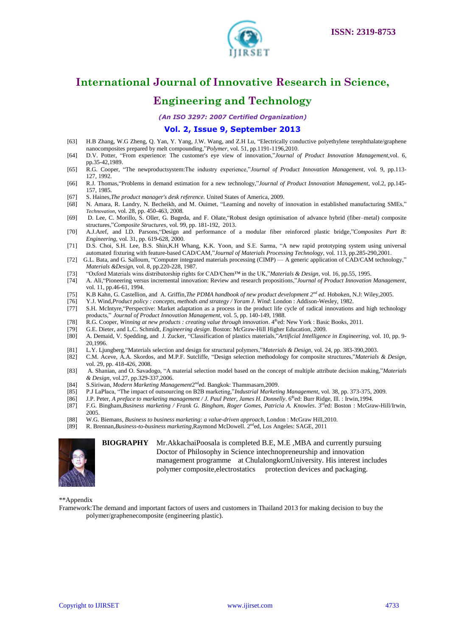

### **Engineering and Technology**

*(An ISO 3297: 2007 Certified Organization)*

#### **Vol. 2, Issue 9, September 2013**

- [63] H.B Zhang, W.G Zheng, Q. Yan, Y. Yang, J.W. Wang, and Z.H Lu, "Electrically conductive polyethylene terephthalate/graphene nanocomposites prepared by melt compounding,"*Polymer*, vol. 51, pp.1191-1196,2010.
- [64] D.V. Potter, "From experience: The customer's eye view of innovation,"*Journal of Product Innovation Management*,vol. 6, pp.35-42,1989.
- [65] R.G. Cooper, "The newproductsystem:The industry experience,"*Journal of Product Innovation Management*, vol. 9, pp.113-127, 1992.
- [66] R.J. Thomas, "Problems in demand estimation for a new technology,"*Journal of Product Innovation Management*, vol.2, pp.145-157, 1985.
- [67] S. Haines,*The product manager's desk reference.* United States of America, 2009.
- [68] N. Amara, R. Landry, N. Becheikh, and M. Ouimet, "Learning and novelty of innovation in established manufacturing SMEs," *Technovation,* vol. 28, pp. 450-463, 2008.
- [69] D. Lee, C. Morillo, S. Oller, G. Bugeda, and F. Oñate, Robust design optimisation of advance hybrid (fiber–metal) composite structures,"Composite Structures, vol. 99, pp. 181-192, 2013.
- [70] A.J.Aref, and I.D. Parsons, "Design and performance of a modular fiber reinforced plastic bridge,"Composites Part B: *Engineering*, vol. 31, pp. 619-628, 2000.
- [71] D.S. Choi, S.H. Lee, B.S. Shin,K.H Whang, K.K. Yoon, and S.E. Sarma, "A new rapid prototyping system using universal automated fixturing with feature-based CAD/CAM,"*Journal of Materials Processing Technology*, vol. 113, pp.285-290,2001.
- [72] G.L. Bata, and G. Salloum, "Computer integrated materials processing (CIMP) A generic application of CAD/CAM technology," *Materials &Design*, vol. 8, pp.220-228, 1987.
- [73] "Oxford Materials wins distributorship rights for CAD/Chem™ in the UK,"*Materials & Design*, vol. 16, pp.55, 1995.
- [74] A. Ali, "Pioneering versus incremental innovation: Review and research propositions,"*Journal of Product Innovation Management*, vol. 11, pp.46-61, 1994.
- [75] K.B Kahn, G. Castellion, and A. Griffin,*The PDMA handbook of new product development 2nd ed*. Hoboken, N.J: Wiley,2005.
- [76] Y.J. Wind,*Product policy : concepts, methods and strategy / Yoram J. Wind*: London : Addison-Wesley, 1982.
- [77] S.H. McIntyre, "Perspective: Market adaptation as a process in the product life cycle of radical innovations and high technology products," *Journal of Product Innovation Management*, vol. 5, pp. 140-149, 1988.
- [78] R.G. Cooper, *Winning at new products : creating value through innovation*. 4<sup>th</sup>ed: New York : Basic Books, 2011.
- [79] G.E. Dieter, and L.C. Schmidt, *Engineering design*. Boston: McGraw-Hill Higher Education, 2009.
- [80] A. Demaid, V. Spedding, and J. Zucker, "Classification of plastics materials,"Artificial Intelligence in Engineering, vol. 10, pp. 9-20,1996.
- [81] L.Y. Ljungberg, "Materials selection and design for structural polymers,"*Materials & Design*, vol. 24, pp. 383-390,2003.
- [82] C.M. Aceve, A.A. Skordos, and M.P.F. Sutcliffe, "Design selection methodology for composite structures,"*Materials & Design*, vol. 29, pp. 418-426, 2008.
- [83] A. Shanian, and O. Savadogo, "A material selection model based on the concept of multiple attribute decision making,"*Materials & Design,* vol.27, pp.329-337,2006.
- [84] S.Siriwan, *Modern Marketing Management*2<sup>nd</sup>ed. Bangkok: Thammasarn,2009.
- [85] P.J LaPlaca, "The impact of outsourcing on B2B marketing,"*Industrial Marketing Management*, vol. 38, pp. 373-375, 2009.
- [86] J.P. Peter, *A preface to marketing management / J. Paul Peter, James H. Donnelly*. 6<sup>th</sup>ed: Burr Ridge, Ill. : Irwin,1994.
- [87] F.G. Bingham,*Business marketing / Frank G. Bingham, Roger Gomes, Patricia A. Knowles*. 3<sup>rd</sup>ed: Boston : McGraw-Hill/Irwin, 2005.
- [88] W.G. Biemans, *Business to business marketing: a value-driven approach*, London : McGraw Hill,2010.
- [89] R. Brennan, *Business-to-business marketing*, Raymond McDowell. 2<sup>nd</sup>ed, Los Angeles: SAGE, 2011



**BIOGRAPHY** Mr.AkkachaiPoosala is completed B.E, M.E ,MBA and currently pursuing Doctor of Philosophy in Science intechnopreneurship and innovation management programme at ChulalongkornUniversity. His interest includes polymer composite, electrostatics protection devices and packaging.

\*\*Appendix

Framework:The demand and important factors of users and customers in Thailand 2013 for making decision to buy the polymer/graphenecomposite (engineering plastic).